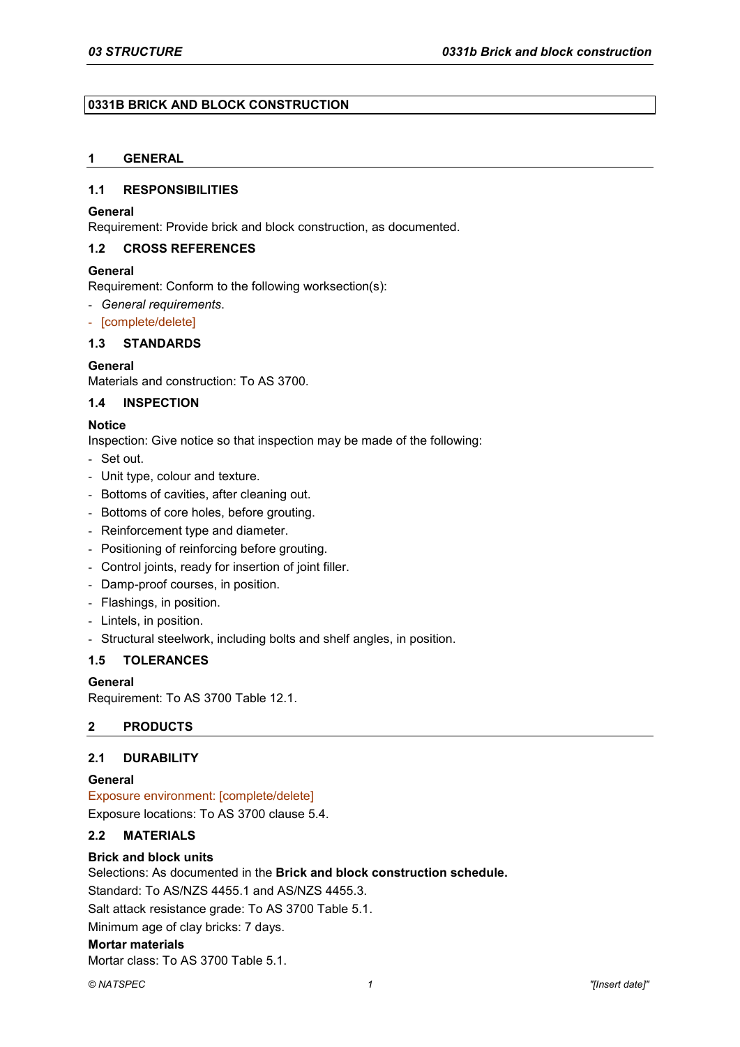### **0331B BRICK AND BLOCK CONSTRUCTION**

# **1 GENERAL**

### **1.1 RESPONSIBILITIES**

### **General**

Requirement: Provide brick and block construction, as documented.

### **1.2 CROSS REFERENCES**

### **General**

Requirement: Conform to the following worksection(s):

- *General requirements*.
- [complete/delete]

# **1.3 STANDARDS**

### **General**

Materials and construction: To AS 3700.

### **1.4 INSPECTION**

### **Notice**

Inspection: Give notice so that inspection may be made of the following:

- Set out.
- Unit type, colour and texture.
- Bottoms of cavities, after cleaning out.
- Bottoms of core holes, before grouting.
- Reinforcement type and diameter.
- Positioning of reinforcing before grouting.
- Control joints, ready for insertion of joint filler.
- Damp-proof courses, in position.
- Flashings, in position.
- Lintels, in position.
- Structural steelwork, including bolts and shelf angles, in position.

## **1.5 TOLERANCES**

### **General**

Requirement: To AS 3700 Table 12.1.

## **2 PRODUCTS**

## **2.1 DURABILITY**

### **General**

Exposure environment: [complete/delete] Exposure locations: To AS 3700 clause 5.4.

# **2.2 MATERIALS**

### **Brick and block units**

Selections: As documented in the **Brick and block construction schedule.** Standard: To AS/NZS 4455.1 and AS/NZS 4455.3. Salt attack resistance grade: To AS 3700 Table 5.1. Minimum age of clay bricks: 7 days. **Mortar materials**

Mortar class: To AS 3700 Table 5.1.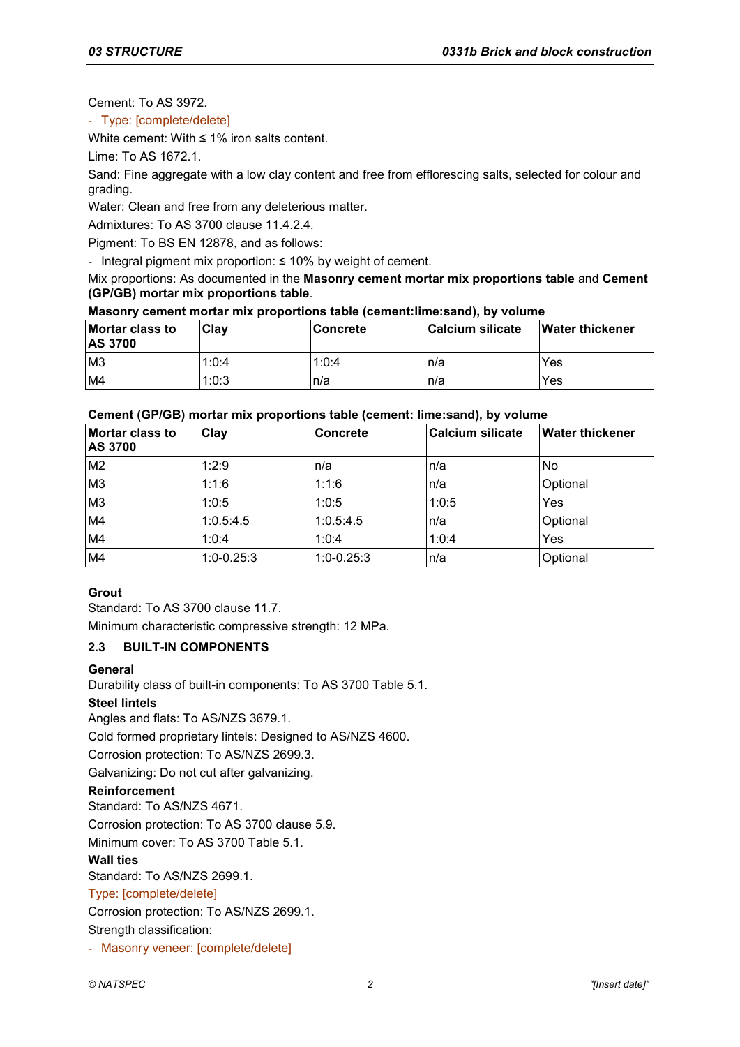Cement: To AS 3972.

- Type: [complete/delete]

White cement: With ≤ 1% iron salts content.

Lime: To AS 1672.1.

Sand: Fine aggregate with a low clay content and free from efflorescing salts, selected for colour and grading.

Water: Clean and free from any deleterious matter.

Admixtures: To AS 3700 clause 11.4.2.4.

Pigment: To BS EN 12878, and as follows:

- Integral pigment mix proportion: ≤ 10% by weight of cement.

Mix proportions: As documented in the **Masonry cement mortar mix proportions table** and **Cement (GP/GB) mortar mix proportions table**.

## **Masonry cement mortar mix proportions table (cement:lime:sand), by volume**

| Mortar class to<br><b>AS 3700</b> | <b>Clav</b> | ∣Concrete | <b>Calcium silicate</b> | <b>Water thickener</b> |
|-----------------------------------|-------------|-----------|-------------------------|------------------------|
| M <sub>3</sub>                    | 1:0:4       | 1:0:4     | In/a                    | Yes                    |
| M <sub>4</sub>                    | 1:0:3       | ln/a      | In/a                    | Yes                    |

## **Cement (GP/GB) mortar mix proportions table (cement: lime:sand), by volume**

| Mortar class to<br><b>AS 3700</b> | <b>Clay</b>  | <b>Concrete</b> | <b>Calcium silicate</b> | <b>Water thickener</b> |
|-----------------------------------|--------------|-----------------|-------------------------|------------------------|
| M <sub>2</sub>                    | 1:2:9        | n/a             | n/a                     | <b>No</b>              |
| M <sub>3</sub>                    | 1:1:6        | 1:1:6           | n/a                     | Optional               |
| M <sub>3</sub>                    | 1:0:5        | 1:0:5           | 1:0:5                   | Yes                    |
| M4                                | 1:0.5:4.5    | 1:0.5:4.5       | n/a                     | Optional               |
| M4                                | 1:0:4        | 1:0:4           | 1:0:4                   | Yes                    |
| M4                                | $1:0-0.25:3$ | $1:0-0.25:3$    | n/a                     | Optional               |

# **Grout**

Standard: To AS 3700 clause 11.7. Minimum characteristic compressive strength: 12 MPa.

# **2.3 BUILT-IN COMPONENTS**

## **General**

Durability class of built-in components: To AS 3700 Table 5.1.

## **Steel lintels**

Angles and flats: To AS/NZS 3679.1.

Cold formed proprietary lintels: Designed to AS/NZS 4600.

Corrosion protection: To AS/NZS 2699.3.

Galvanizing: Do not cut after galvanizing.

## **Reinforcement**

Standard: To AS/NZS 4671. Corrosion protection: To AS 3700 clause 5.9. Minimum cover: To AS 3700 Table 5.1.

**Wall ties**

Standard: To AS/NZS 2699.1.

# Type: [complete/delete]

Corrosion protection: To AS/NZS 2699.1.

Strength classification:

- Masonry veneer: [complete/delete]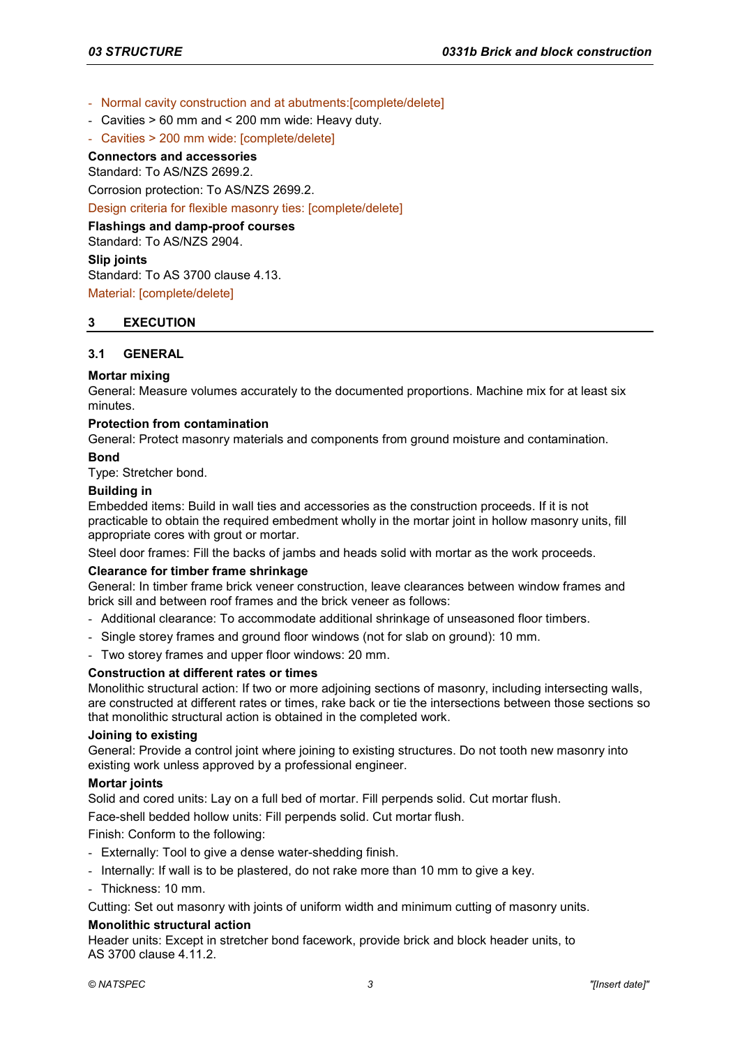- Normal cavity construction and at abutments:[complete/delete]
- Cavities > 60 mm and < 200 mm wide: Heavy duty.
- Cavities > 200 mm wide: [complete/delete]

# **Connectors and accessories**

Standard: To AS/NZS 2699.2.

Corrosion protection: To AS/NZS 2699.2.

Design criteria for flexible masonry ties: [complete/delete]

**Flashings and damp-proof courses** Standard: To AS/NZS 2904. **Slip joints** Standard: To AS 3700 clause 4.13.

Material: [complete/delete]

### **3 EXECUTION**

### **3.1 GENERAL**

### **Mortar mixing**

General: Measure volumes accurately to the documented proportions. Machine mix for at least six minutes.

### **Protection from contamination**

General: Protect masonry materials and components from ground moisture and contamination.

### **Bond**

Type: Stretcher bond.

### **Building in**

Embedded items: Build in wall ties and accessories as the construction proceeds. If it is not practicable to obtain the required embedment wholly in the mortar joint in hollow masonry units, fill appropriate cores with grout or mortar.

Steel door frames: Fill the backs of jambs and heads solid with mortar as the work proceeds.

### **Clearance for timber frame shrinkage**

General: In timber frame brick veneer construction, leave clearances between window frames and brick sill and between roof frames and the brick veneer as follows:

- Additional clearance: To accommodate additional shrinkage of unseasoned floor timbers.
- Single storey frames and ground floor windows (not for slab on ground): 10 mm.
- Two storey frames and upper floor windows: 20 mm.

## **Construction at different rates or times**

Monolithic structural action: If two or more adjoining sections of masonry, including intersecting walls, are constructed at different rates or times, rake back or tie the intersections between those sections so that monolithic structural action is obtained in the completed work.

### **Joining to existing**

General: Provide a control joint where joining to existing structures. Do not tooth new masonry into existing work unless approved by a professional engineer.

### **Mortar joints**

Solid and cored units: Lay on a full bed of mortar. Fill perpends solid. Cut mortar flush.

Face-shell bedded hollow units: Fill perpends solid. Cut mortar flush.

Finish: Conform to the following:

- Externally: Tool to give a dense water-shedding finish.
- Internally: If wall is to be plastered, do not rake more than 10 mm to give a key.
- Thickness: 10 mm.

Cutting: Set out masonry with joints of uniform width and minimum cutting of masonry units.

### **Monolithic structural action**

Header units: Except in stretcher bond facework, provide brick and block header units, to AS 3700 clause 4.11.2.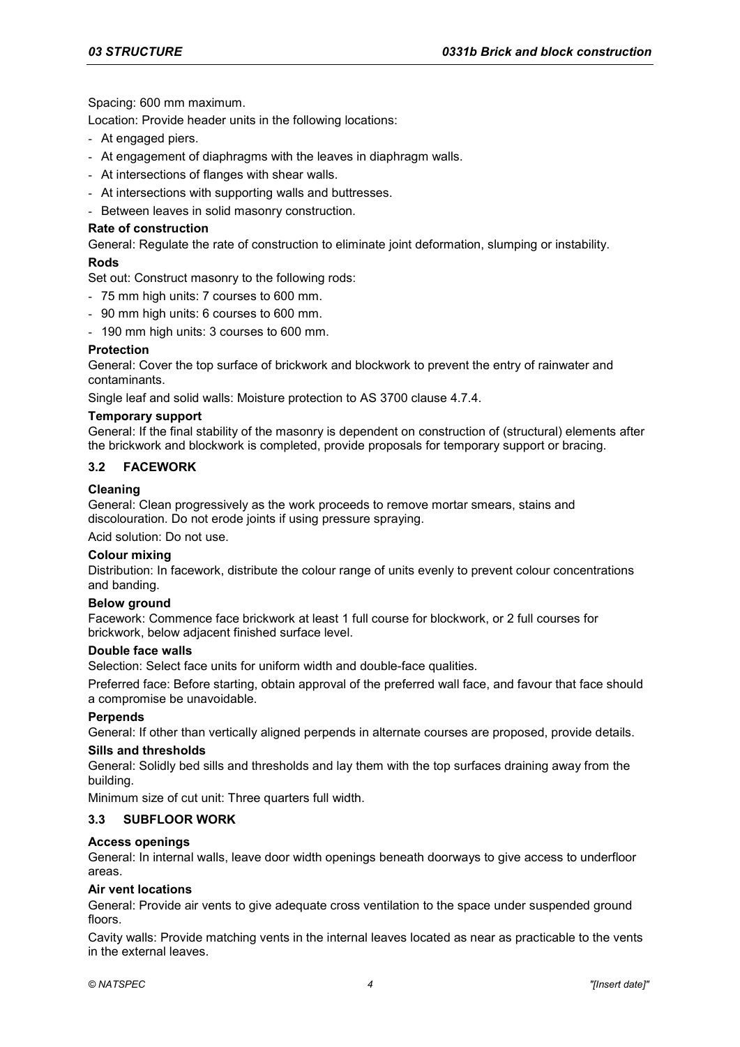Spacing: 600 mm maximum.

Location: Provide header units in the following locations:

- At engaged piers.
- At engagement of diaphragms with the leaves in diaphragm walls.
- At intersections of flanges with shear walls.
- At intersections with supporting walls and buttresses.
- Between leaves in solid masonry construction.

### **Rate of construction**

General: Regulate the rate of construction to eliminate joint deformation, slumping or instability.

### **Rods**

Set out: Construct masonry to the following rods:

- 75 mm high units: 7 courses to 600 mm.
- 90 mm high units: 6 courses to 600 mm.
- 190 mm high units: 3 courses to 600 mm.

### **Protection**

General: Cover the top surface of brickwork and blockwork to prevent the entry of rainwater and contaminants.

Single leaf and solid walls: Moisture protection to AS 3700 clause 4.7.4.

### **Temporary support**

General: If the final stability of the masonry is dependent on construction of (structural) elements after the brickwork and blockwork is completed, provide proposals for temporary support or bracing.

### **3.2 FACEWORK**

### **Cleaning**

General: Clean progressively as the work proceeds to remove mortar smears, stains and discolouration. Do not erode joints if using pressure spraying.

Acid solution: Do not use.

### **Colour mixing**

Distribution: In facework, distribute the colour range of units evenly to prevent colour concentrations and banding.

### **Below ground**

Facework: Commence face brickwork at least 1 full course for blockwork, or 2 full courses for brickwork, below adjacent finished surface level.

## **Double face walls**

Selection: Select face units for uniform width and double-face qualities.

Preferred face: Before starting, obtain approval of the preferred wall face, and favour that face should a compromise be unavoidable.

### **Perpends**

General: If other than vertically aligned perpends in alternate courses are proposed, provide details.

### **Sills and thresholds**

General: Solidly bed sills and thresholds and lay them with the top surfaces draining away from the building.

Minimum size of cut unit: Three quarters full width.

### **3.3 SUBFLOOR WORK**

### **Access openings**

General: In internal walls, leave door width openings beneath doorways to give access to underfloor areas.

### **Air vent locations**

General: Provide air vents to give adequate cross ventilation to the space under suspended ground floors.

Cavity walls: Provide matching vents in the internal leaves located as near as practicable to the vents in the external leaves.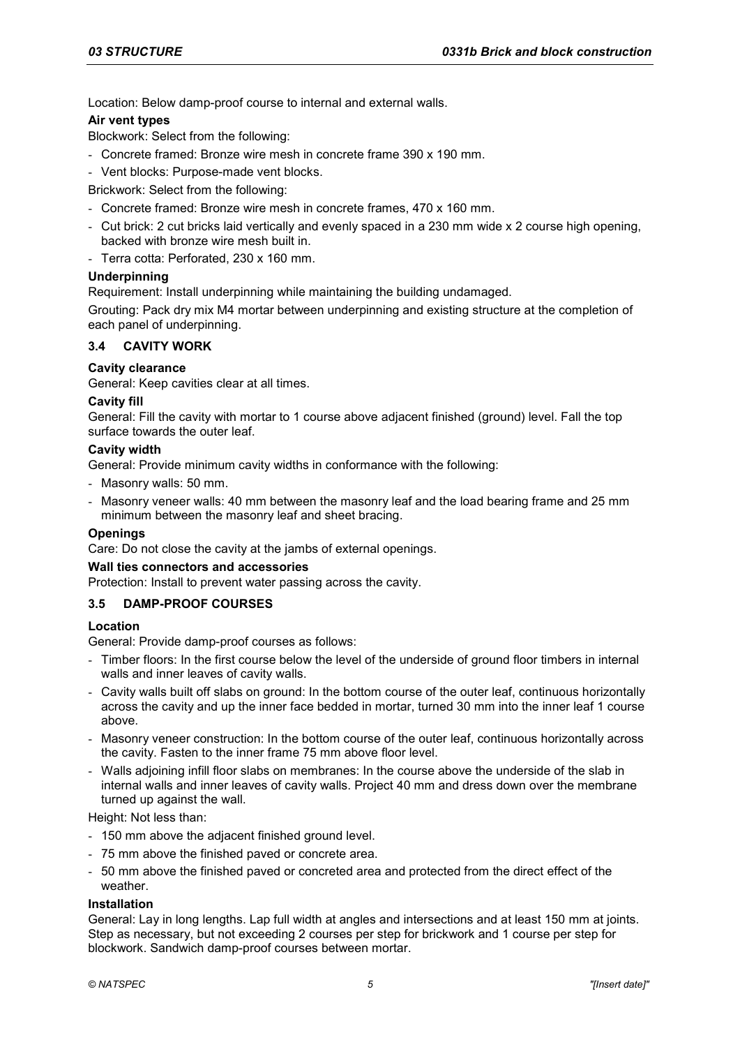Location: Below damp-proof course to internal and external walls.

## **Air vent types**

Blockwork: Select from the following:

- Concrete framed: Bronze wire mesh in concrete frame 390 x 190 mm.
- Vent blocks: Purpose-made vent blocks.

Brickwork: Select from the following:

- Concrete framed: Bronze wire mesh in concrete frames, 470 x 160 mm.
- Cut brick: 2 cut bricks laid vertically and evenly spaced in a 230 mm wide x 2 course high opening, backed with bronze wire mesh built in.
- Terra cotta: Perforated, 230 x 160 mm.

## **Underpinning**

Requirement: Install underpinning while maintaining the building undamaged.

Grouting: Pack dry mix M4 mortar between underpinning and existing structure at the completion of each panel of underpinning.

## **3.4 CAVITY WORK**

# **Cavity clearance**

General: Keep cavities clear at all times.

### **Cavity fill**

General: Fill the cavity with mortar to 1 course above adjacent finished (ground) level. Fall the top surface towards the outer leaf.

### **Cavity width**

General: Provide minimum cavity widths in conformance with the following:

- Masonry walls: 50 mm.
- Masonry veneer walls: 40 mm between the masonry leaf and the load bearing frame and 25 mm minimum between the masonry leaf and sheet bracing.

## **Openings**

Care: Do not close the cavity at the jambs of external openings.

### **Wall ties connectors and accessories**

Protection: Install to prevent water passing across the cavity.

# **3.5 DAMP-PROOF COURSES**

## **Location**

General: Provide damp-proof courses as follows:

- Timber floors: In the first course below the level of the underside of ground floor timbers in internal walls and inner leaves of cavity walls.
- Cavity walls built off slabs on ground: In the bottom course of the outer leaf, continuous horizontally across the cavity and up the inner face bedded in mortar, turned 30 mm into the inner leaf 1 course above.
- Masonry veneer construction: In the bottom course of the outer leaf, continuous horizontally across the cavity. Fasten to the inner frame 75 mm above floor level.
- Walls adjoining infill floor slabs on membranes: In the course above the underside of the slab in internal walls and inner leaves of cavity walls. Project 40 mm and dress down over the membrane turned up against the wall.

Height: Not less than:

- 150 mm above the adjacent finished ground level.
- 75 mm above the finished paved or concrete area.
- 50 mm above the finished paved or concreted area and protected from the direct effect of the weather.

### **Installation**

General: Lay in long lengths. Lap full width at angles and intersections and at least 150 mm at joints. Step as necessary, but not exceeding 2 courses per step for brickwork and 1 course per step for blockwork. Sandwich damp-proof courses between mortar.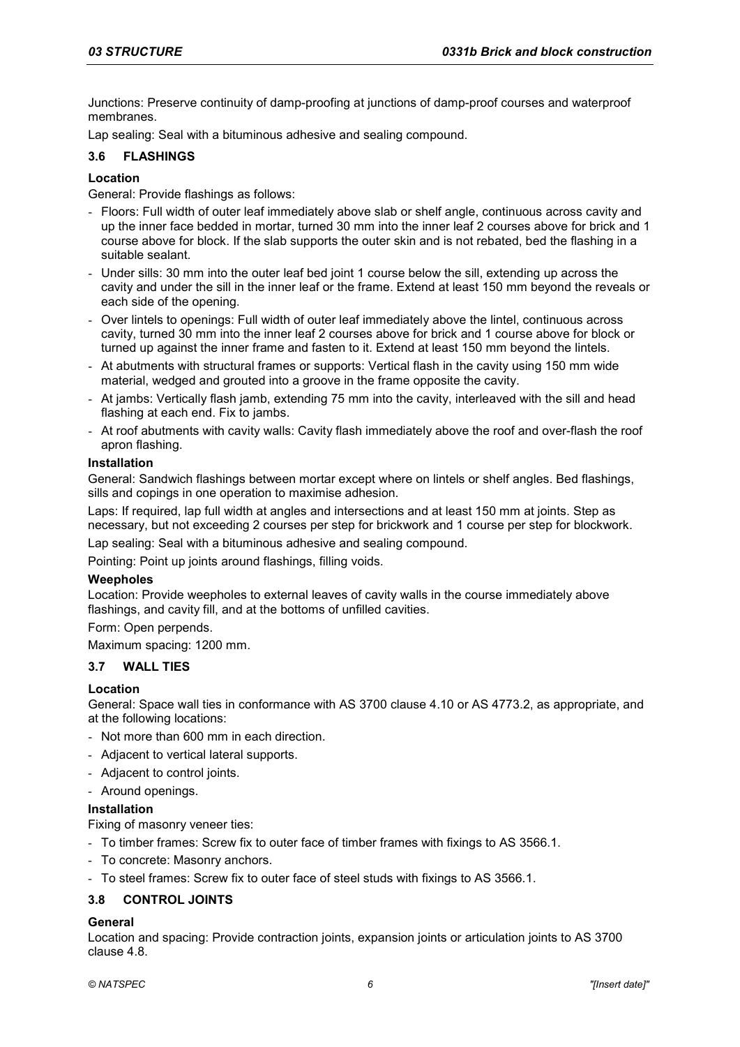Junctions: Preserve continuity of damp-proofing at junctions of damp-proof courses and waterproof membranes.

Lap sealing: Seal with a bituminous adhesive and sealing compound.

### **3.6 FLASHINGS**

### **Location**

General: Provide flashings as follows:

- Floors: Full width of outer leaf immediately above slab or shelf angle, continuous across cavity and up the inner face bedded in mortar, turned 30 mm into the inner leaf 2 courses above for brick and 1 course above for block. If the slab supports the outer skin and is not rebated, bed the flashing in a suitable sealant.
- Under sills: 30 mm into the outer leaf bed joint 1 course below the sill, extending up across the cavity and under the sill in the inner leaf or the frame. Extend at least 150 mm beyond the reveals or each side of the opening.
- Over lintels to openings: Full width of outer leaf immediately above the lintel, continuous across cavity, turned 30 mm into the inner leaf 2 courses above for brick and 1 course above for block or turned up against the inner frame and fasten to it. Extend at least 150 mm beyond the lintels.
- At abutments with structural frames or supports: Vertical flash in the cavity using 150 mm wide material, wedged and grouted into a groove in the frame opposite the cavity.
- At jambs: Vertically flash jamb, extending 75 mm into the cavity, interleaved with the sill and head flashing at each end. Fix to jambs.
- At roof abutments with cavity walls: Cavity flash immediately above the roof and over-flash the roof apron flashing.

### **Installation**

General: Sandwich flashings between mortar except where on lintels or shelf angles. Bed flashings, sills and copings in one operation to maximise adhesion.

Laps: If required, lap full width at angles and intersections and at least 150 mm at joints. Step as necessary, but not exceeding 2 courses per step for brickwork and 1 course per step for blockwork.

Lap sealing: Seal with a bituminous adhesive and sealing compound.

Pointing: Point up joints around flashings, filling voids.

### **Weepholes**

Location: Provide weepholes to external leaves of cavity walls in the course immediately above flashings, and cavity fill, and at the bottoms of unfilled cavities.

Form: Open perpends.

Maximum spacing: 1200 mm.

## **3.7 WALL TIES**

### **Location**

General: Space wall ties in conformance with AS 3700 clause 4.10 or AS 4773.2, as appropriate, and at the following locations:

- Not more than 600 mm in each direction.
- Adjacent to vertical lateral supports.
- Adjacent to control joints.
- Around openings.

## **Installation**

Fixing of masonry veneer ties:

- To timber frames: Screw fix to outer face of timber frames with fixings to AS 3566.1.
- To concrete: Masonry anchors.
- To steel frames: Screw fix to outer face of steel studs with fixings to AS 3566.1.

## **3.8 CONTROL JOINTS**

### **General**

Location and spacing: Provide contraction joints, expansion joints or articulation joints to AS 3700 clause 4.8.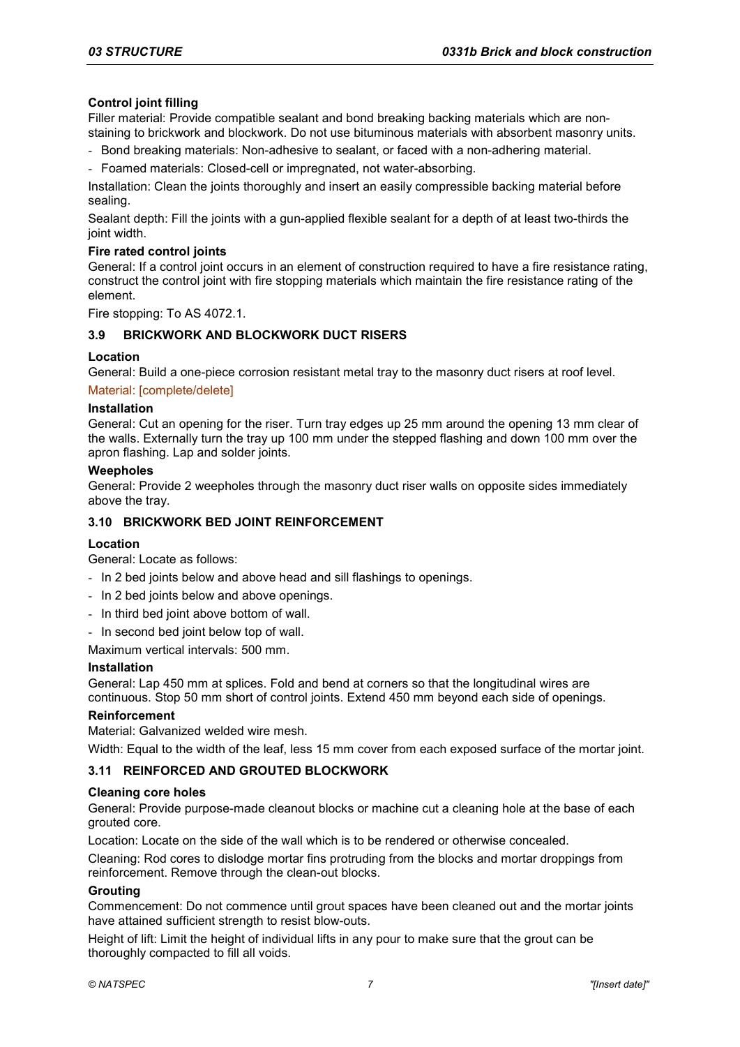## **Control joint filling**

Filler material: Provide compatible sealant and bond breaking backing materials which are nonstaining to brickwork and blockwork. Do not use bituminous materials with absorbent masonry units.

- Bond breaking materials: Non-adhesive to sealant, or faced with a non-adhering material.
- Foamed materials: Closed-cell or impregnated, not water-absorbing.

Installation: Clean the joints thoroughly and insert an easily compressible backing material before sealing.

Sealant depth: Fill the joints with a gun-applied flexible sealant for a depth of at least two-thirds the joint width.

### **Fire rated control joints**

General: If a control joint occurs in an element of construction required to have a fire resistance rating, construct the control joint with fire stopping materials which maintain the fire resistance rating of the element.

Fire stopping: To AS 4072.1.

### **3.9 BRICKWORK AND BLOCKWORK DUCT RISERS**

### **Location**

General: Build a one-piece corrosion resistant metal tray to the masonry duct risers at roof level.

### Material: [complete/delete]

### **Installation**

General: Cut an opening for the riser. Turn tray edges up 25 mm around the opening 13 mm clear of the walls. Externally turn the tray up 100 mm under the stepped flashing and down 100 mm over the apron flashing. Lap and solder joints.

### **Weepholes**

General: Provide 2 weepholes through the masonry duct riser walls on opposite sides immediately above the tray.

### **3.10 BRICKWORK BED JOINT REINFORCEMENT**

## **Location**

General: Locate as follows:

- In 2 bed joints below and above head and sill flashings to openings.
- In 2 bed joints below and above openings.
- In third bed joint above bottom of wall.
- In second bed joint below top of wall.
- Maximum vertical intervals: 500 mm.

### **Installation**

General: Lap 450 mm at splices. Fold and bend at corners so that the longitudinal wires are continuous. Stop 50 mm short of control joints. Extend 450 mm beyond each side of openings.

### **Reinforcement**

Material: Galvanized welded wire mesh.

Width: Equal to the width of the leaf, less 15 mm cover from each exposed surface of the mortar joint.

## **3.11 REINFORCED AND GROUTED BLOCKWORK**

### **Cleaning core holes**

General: Provide purpose-made cleanout blocks or machine cut a cleaning hole at the base of each grouted core.

Location: Locate on the side of the wall which is to be rendered or otherwise concealed.

Cleaning: Rod cores to dislodge mortar fins protruding from the blocks and mortar droppings from reinforcement. Remove through the clean-out blocks.

### **Grouting**

Commencement: Do not commence until grout spaces have been cleaned out and the mortar joints have attained sufficient strength to resist blow-outs.

Height of lift: Limit the height of individual lifts in any pour to make sure that the grout can be thoroughly compacted to fill all voids.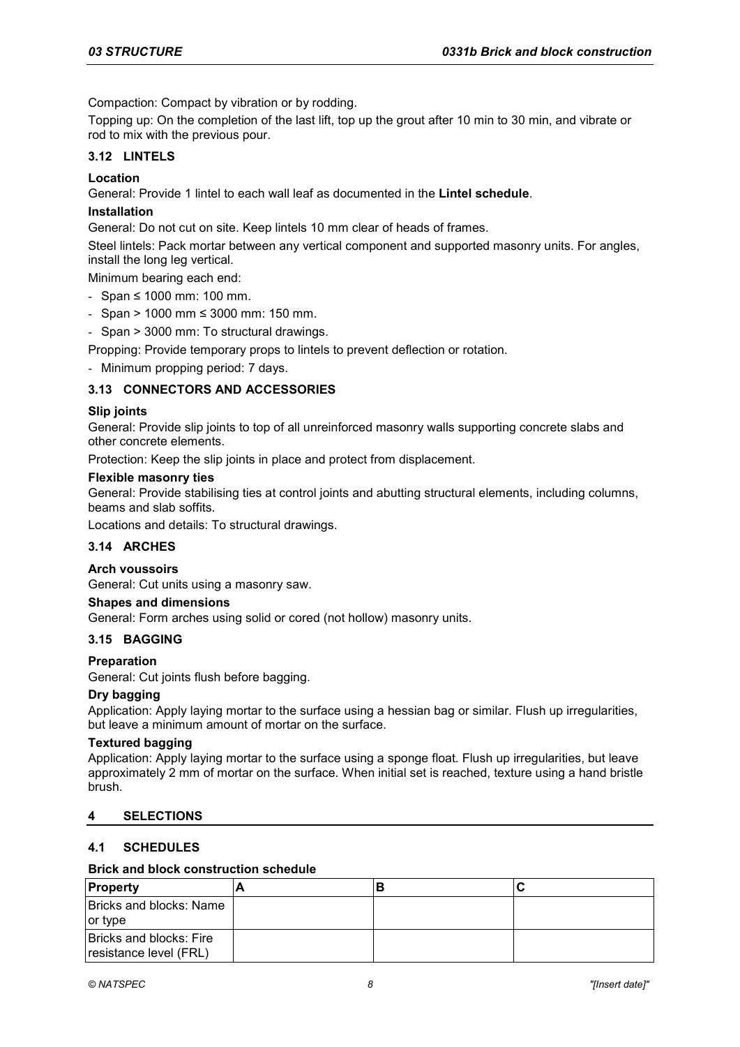Compaction: Compact by vibration or by rodding.

Topping up: On the completion of the last lift, top up the grout after 10 min to 30 min, and vibrate or rod to mix with the previous pour.

## **3.12 LINTELS**

# **Location**

General: Provide 1 lintel to each wall leaf as documented in the **Lintel schedule**.

# **Installation**

General: Do not cut on site. Keep lintels 10 mm clear of heads of frames.

Steel lintels: Pack mortar between any vertical component and supported masonry units. For angles, install the long leg vertical.

Minimum bearing each end:

- Span ≤ 1000 mm: 100 mm.
- Span > 1000 mm ≤ 3000 mm: 150 mm.
- Span > 3000 mm: To structural drawings.

Propping: Provide temporary props to lintels to prevent deflection or rotation.

- Minimum propping period: 7 days.

# **3.13 CONNECTORS AND ACCESSORIES**

# **Slip joints**

General: Provide slip joints to top of all unreinforced masonry walls supporting concrete slabs and other concrete elements.

Protection: Keep the slip joints in place and protect from displacement.

### **Flexible masonry ties**

General: Provide stabilising ties at control joints and abutting structural elements, including columns, beams and slab soffits.

Locations and details: To structural drawings.

## **3.14 ARCHES**

## **Arch voussoirs**

General: Cut units using a masonry saw.

## **Shapes and dimensions**

General: Form arches using solid or cored (not hollow) masonry units.

## **3.15 BAGGING**

## **Preparation**

General: Cut joints flush before bagging.

## **Dry bagging**

Application: Apply laying mortar to the surface using a hessian bag or similar. Flush up irregularities, but leave a minimum amount of mortar on the surface.

## **Textured bagging**

Application: Apply laying mortar to the surface using a sponge float. Flush up irregularities, but leave approximately 2 mm of mortar on the surface. When initial set is reached, texture using a hand bristle brush.

## **4 SELECTIONS**

## **4.1 SCHEDULES**

## **Brick and block construction schedule**

| Property                                          |  |  |
|---------------------------------------------------|--|--|
| Bricks and blocks: Name<br>or type                |  |  |
| Bricks and blocks: Fire<br>resistance level (FRL) |  |  |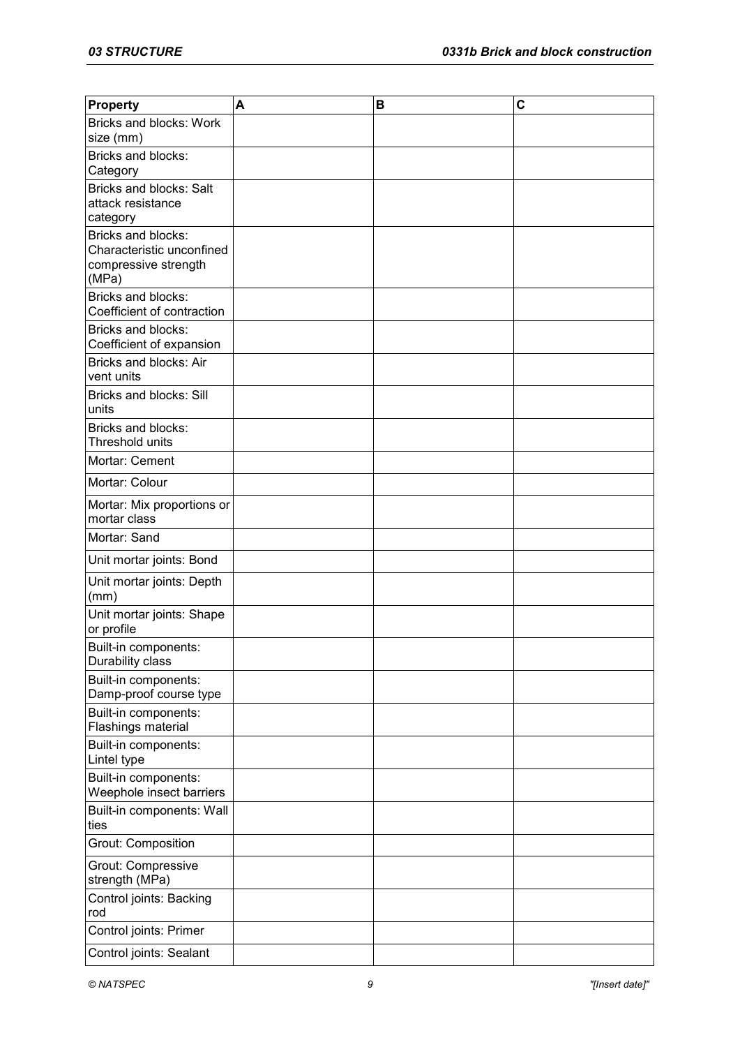| Property                                                                         | A | B | C |
|----------------------------------------------------------------------------------|---|---|---|
| Bricks and blocks: Work<br>size (mm)                                             |   |   |   |
| Bricks and blocks:<br>Category                                                   |   |   |   |
| <b>Bricks and blocks: Salt</b><br>attack resistance<br>category                  |   |   |   |
| Bricks and blocks:<br>Characteristic unconfined<br>compressive strength<br>(MPa) |   |   |   |
| Bricks and blocks:<br>Coefficient of contraction                                 |   |   |   |
| Bricks and blocks:<br>Coefficient of expansion                                   |   |   |   |
| Bricks and blocks: Air<br>vent units                                             |   |   |   |
| <b>Bricks and blocks: Sill</b><br>units                                          |   |   |   |
| Bricks and blocks:<br>Threshold units                                            |   |   |   |
| Mortar: Cement                                                                   |   |   |   |
| Mortar: Colour                                                                   |   |   |   |
| Mortar: Mix proportions or<br>mortar class                                       |   |   |   |
| Mortar: Sand                                                                     |   |   |   |
| Unit mortar joints: Bond                                                         |   |   |   |
| Unit mortar joints: Depth<br>(mm)                                                |   |   |   |
| Unit mortar joints: Shape<br>or profile                                          |   |   |   |
| Built-in components:<br>Durability class                                         |   |   |   |
| Built-in components:<br>Damp-proof course type                                   |   |   |   |
| Built-in components:<br>Flashings material                                       |   |   |   |
| Built-in components:<br>Lintel type                                              |   |   |   |
| Built-in components:<br>Weephole insect barriers                                 |   |   |   |
| Built-in components: Wall<br>ties                                                |   |   |   |
| Grout: Composition                                                               |   |   |   |
| Grout: Compressive<br>strength (MPa)                                             |   |   |   |
| Control joints: Backing<br>rod                                                   |   |   |   |
| Control joints: Primer                                                           |   |   |   |
| Control joints: Sealant                                                          |   |   |   |